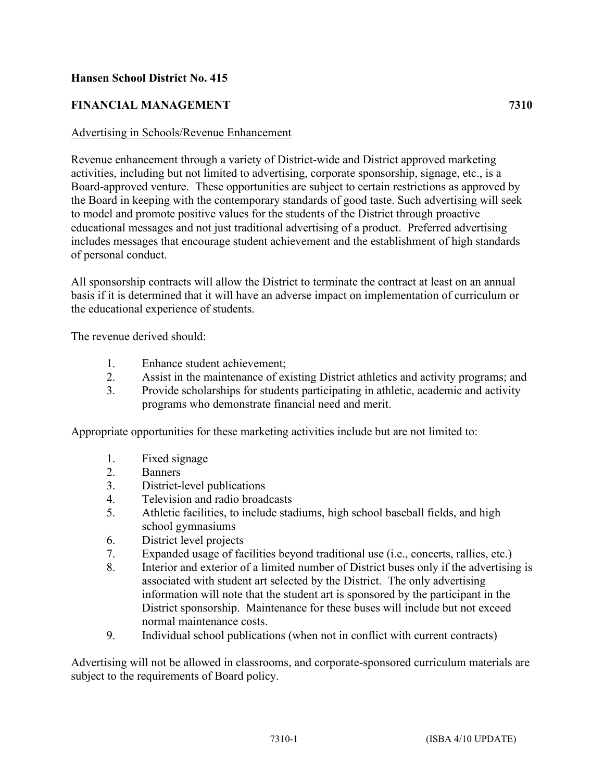## **Hansen School District No. 415**

# **FINANCIAL MANAGEMENT 7310**

#### Advertising in Schools/Revenue Enhancement

Revenue enhancement through a variety of District-wide and District approved marketing activities, including but not limited to advertising, corporate sponsorship, signage, etc., is a Board-approved venture. These opportunities are subject to certain restrictions as approved by the Board in keeping with the contemporary standards of good taste. Such advertising will seek to model and promote positive values for the students of the District through proactive educational messages and not just traditional advertising of a product. Preferred advertising includes messages that encourage student achievement and the establishment of high standards of personal conduct.

All sponsorship contracts will allow the District to terminate the contract at least on an annual basis if it is determined that it will have an adverse impact on implementation of curriculum or the educational experience of students.

The revenue derived should:

- 1. Enhance student achievement;
- 2. Assist in the maintenance of existing District athletics and activity programs; and
- 3. Provide scholarships for students participating in athletic, academic and activity programs who demonstrate financial need and merit.

Appropriate opportunities for these marketing activities include but are not limited to:

- 1. Fixed signage
- 2. Banners
- 3. District-level publications
- 4. Television and radio broadcasts
- 5. Athletic facilities, to include stadiums, high school baseball fields, and high school gymnasiums
- 6. District level projects
- 7. Expanded usage of facilities beyond traditional use (i.e., concerts, rallies, etc.)
- 8. Interior and exterior of a limited number of District buses only if the advertising is associated with student art selected by the District. The only advertising information will note that the student art is sponsored by the participant in the District sponsorship. Maintenance for these buses will include but not exceed normal maintenance costs.
- 9. Individual school publications (when not in conflict with current contracts)

Advertising will not be allowed in classrooms, and corporate-sponsored curriculum materials are subject to the requirements of Board policy.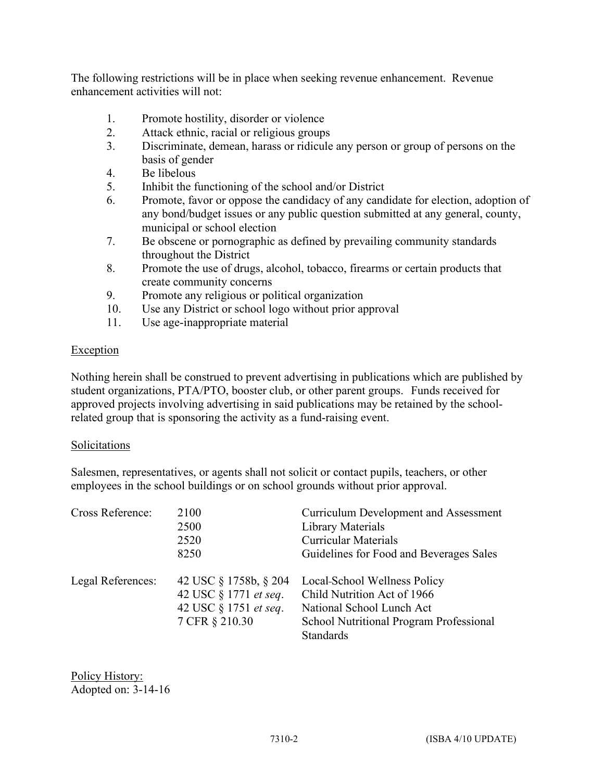The following restrictions will be in place when seeking revenue enhancement. Revenue enhancement activities will not:

- 1. Promote hostility, disorder or violence
- 2. Attack ethnic, racial or religious groups
- 3. Discriminate, demean, harass or ridicule any person or group of persons on the basis of gender
- 4. Be libelous
- 5. Inhibit the functioning of the school and/or District
- 6. Promote, favor or oppose the candidacy of any candidate for election, adoption of any bond/budget issues or any public question submitted at any general, county, municipal or school election
- 7. Be obscene or pornographic as defined by prevailing community standards throughout the District
- 8. Promote the use of drugs, alcohol, tobacco, firearms or certain products that create community concerns
- 9. Promote any religious or political organization
- 10. Use any District or school logo without prior approval
- 11. Use age-inappropriate material

### **Exception**

Nothing herein shall be construed to prevent advertising in publications which are published by student organizations, PTA/PTO, booster club, or other parent groups. Funds received for approved projects involving advertising in said publications may be retained by the schoolrelated group that is sponsoring the activity as a fund-raising event.

#### Solicitations

Salesmen, representatives, or agents shall not solicit or contact pupils, teachers, or other employees in the school buildings or on school grounds without prior approval.

| Cross Reference:  | 2100<br>2500<br>2520<br>8250                                                              | <b>Curriculum Development and Assessment</b><br><b>Library Materials</b><br><b>Curricular Materials</b><br>Guidelines for Food and Beverages Sales             |
|-------------------|-------------------------------------------------------------------------------------------|----------------------------------------------------------------------------------------------------------------------------------------------------------------|
| Legal References: | 42 USC § 1758b, § 204<br>42 USC § 1771 et seq.<br>42 USC § 1751 et seq.<br>7 CFR § 210.30 | Local-School Wellness Policy<br>Child Nutrition Act of 1966<br>National School Lunch Act<br><b>School Nutritional Program Professional</b><br><b>Standards</b> |

Policy History: Adopted on: 3-14-16